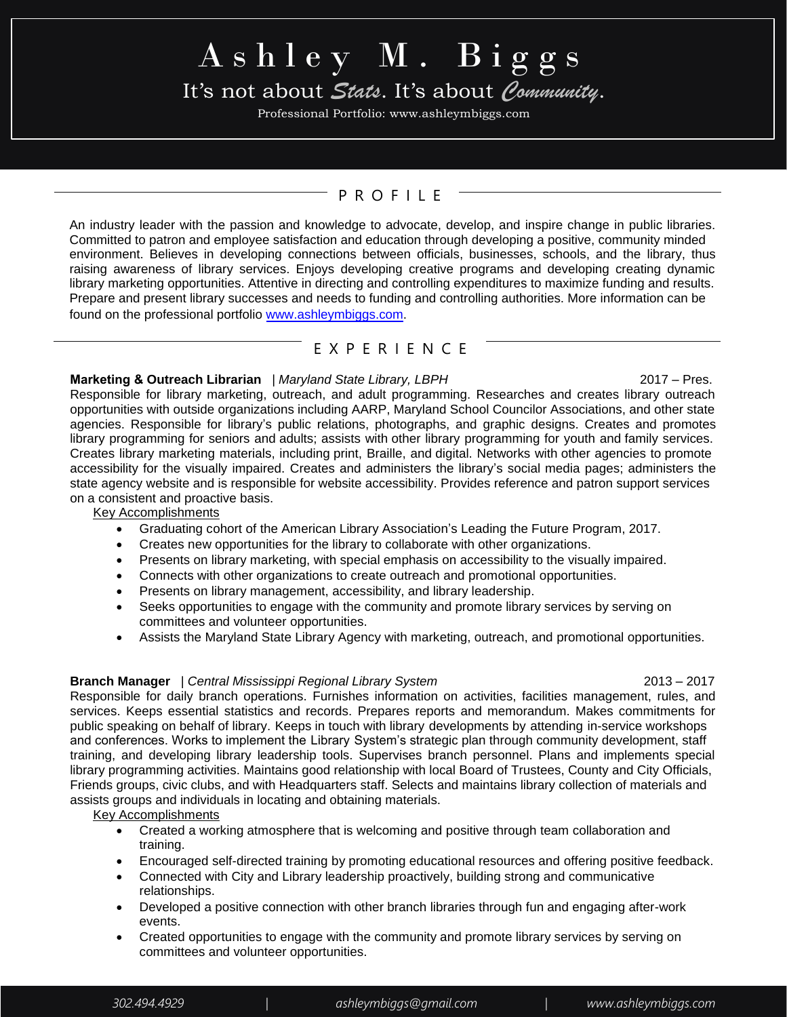# $A sh le y M. Bi g g s$

# It's not about *Stats*. It's about *Community*.

Professional Portfolio: www.ashleymbiggs.com

### P R O F I L E

An industry leader with the passion and knowledge to advocate, develop, and inspire change in public libraries. Committed to patron and employee satisfaction and education through developing a positive, community minded environment. Believes in developing connections between officials, businesses, schools, and the library, thus raising awareness of library services. Enjoys developing creative programs and developing creating dynamic library marketing opportunities. Attentive in directing and controlling expenditures to maximize funding and results. Prepare and present library successes and needs to funding and controlling authorities. More information can be found on the professional portfoli[o www.ashleymbiggs.com.](http://www.ashleymbiggs.com/) 

#### E X P E R I E N C E

#### **Marketing & Outreach Librarian** | *Maryland State Library, LBPH* **2017** - 2017 – Pres.

Responsible for library marketing, outreach, and adult programming. Researches and creates library outreach opportunities with outside organizations including AARP, Maryland School Councilor Associations, and other state agencies. Responsible for library's public relations, photographs, and graphic designs. Creates and promotes library programming for seniors and adults; assists with other library programming for youth and family services. Creates library marketing materials, including print, Braille, and digital. Networks with other agencies to promote accessibility for the visually impaired. Creates and administers the library's social media pages; administers the state agency website and is responsible for website accessibility. Provides reference and patron support services on a consistent and proactive basis.

Key Accomplishments

- Graduating cohort of the American Library Association's Leading the Future Program, 2017.
- Creates new opportunities for the library to collaborate with other organizations.
- Presents on library marketing, with special emphasis on accessibility to the visually impaired.
- Connects with other organizations to create outreach and promotional opportunities.
- Presents on library management, accessibility, and library leadership.
- Seeks opportunities to engage with the community and promote library services by serving on committees and volunteer opportunities.
- Assists the Maryland State Library Agency with marketing, outreach, and promotional opportunities.

#### **Branch Manager** | *Central Mississippi Regional Library System* 2013 – 2017

Responsible for daily branch operations. Furnishes information on activities, facilities management, rules, and services. Keeps essential statistics and records. Prepares reports and memorandum. Makes commitments for public speaking on behalf of library. Keeps in touch with library developments by attending in-service workshops and conferences. Works to implement the Library System's strategic plan through community development, staff training, and developing library leadership tools. Supervises branch personnel. Plans and implements special library programming activities. Maintains good relationship with local Board of Trustees, County and City Officials, Friends groups, civic clubs, and with Headquarters staff. Selects and maintains library collection of materials and assists groups and individuals in locating and obtaining materials.

Key Accomplishments

- Created a working atmosphere that is welcoming and positive through team collaboration and training.
- Encouraged self-directed training by promoting educational resources and offering positive feedback.
- Connected with City and Library leadership proactively, building strong and communicative relationships.
- Developed a positive connection with other branch libraries through fun and engaging after-work events.
- Created opportunities to engage with the community and promote library services by serving on committees and volunteer opportunities.